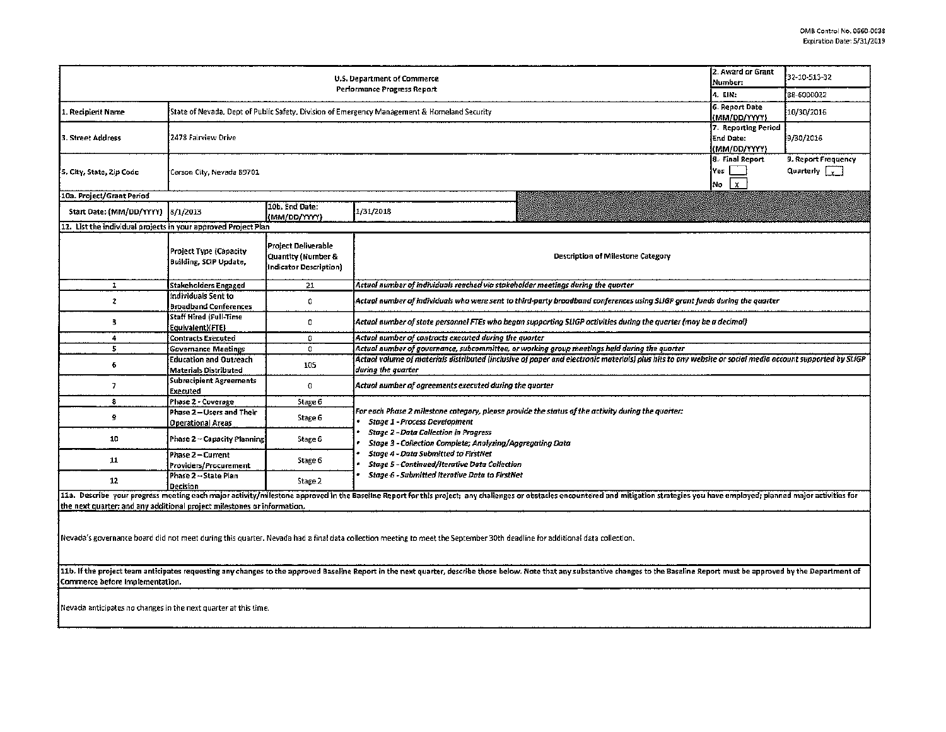|                                                                                                                                                                                                                                                                    | 2. Award or Grant<br>Number:                                                                 | 32-10-513-32                                                               |                                                                                                                                                                                                                                |  |  |  |  |  |  |  |  |
|--------------------------------------------------------------------------------------------------------------------------------------------------------------------------------------------------------------------------------------------------------------------|----------------------------------------------------------------------------------------------|----------------------------------------------------------------------------|--------------------------------------------------------------------------------------------------------------------------------------------------------------------------------------------------------------------------------|--|--|--|--|--|--|--|--|
|                                                                                                                                                                                                                                                                    | 4. EIN:                                                                                      | 88-6000022                                                                 |                                                                                                                                                                                                                                |  |  |  |  |  |  |  |  |
| 1. Recipierit Name                                                                                                                                                                                                                                                 | State of Nevada, Dept of Public Safety, Division of Emergency Management & Homeland Security | 6. Report Date<br>(MM/DD/YYYY)                                             | 10/30/2016                                                                                                                                                                                                                     |  |  |  |  |  |  |  |  |
| 3. Street Address                                                                                                                                                                                                                                                  | 2478 Fairview Drive                                                                          | 7. Reporting Period<br>End Date:<br>(MM/DD/YYYY)                           | 9/30/2016                                                                                                                                                                                                                      |  |  |  |  |  |  |  |  |
| 5, City, State, Zip Code                                                                                                                                                                                                                                           | 'Carson City, Nevada 89701                                                                   | 8. Final Report<br>Yes<br>l x.<br>No                                       | 9. Report Frequency<br>Quarterly $\sqrt{v}$                                                                                                                                                                                    |  |  |  |  |  |  |  |  |
| 10a. Project/Grant Period                                                                                                                                                                                                                                          |                                                                                              |                                                                            |                                                                                                                                                                                                                                |  |  |  |  |  |  |  |  |
| Start Date: (MM/DD/YYYY)                                                                                                                                                                                                                                           | 8/1/2013                                                                                     | 10b. End Date:<br>(MM/DD/YYYY)                                             | 1/31/2018                                                                                                                                                                                                                      |  |  |  |  |  |  |  |  |
| 11. List the individual projects in your approved Project Plan                                                                                                                                                                                                     |                                                                                              |                                                                            |                                                                                                                                                                                                                                |  |  |  |  |  |  |  |  |
|                                                                                                                                                                                                                                                                    | <b>Project Type (Capacity</b><br><b>Building, SCIP Update,</b>                               | Project Deliverable<br>Quantity (Number &<br><b>Indicator Description)</b> | <b>Description of Milestone Category</b>                                                                                                                                                                                       |  |  |  |  |  |  |  |  |
| 1                                                                                                                                                                                                                                                                  | Stakeholders Engaged                                                                         | 21                                                                         | Actual number of individuals reached via stakeholder meetings during the quarter                                                                                                                                               |  |  |  |  |  |  |  |  |
| 2                                                                                                                                                                                                                                                                  | Individuals Sent to<br><b>Broadband Conferences</b>                                          | 0                                                                          | Actual number of individuals who were sent to third-party broadband conferences using SLIGP grant funds during the quarter                                                                                                     |  |  |  |  |  |  |  |  |
| 3                                                                                                                                                                                                                                                                  | Staff Hired (Full-Time<br>Equivalent)(FTE)                                                   | 0                                                                          | Actual number of state personnel FTEs who began supporting SLIGP activities during the quarter (may be a decimal)                                                                                                              |  |  |  |  |  |  |  |  |
| 4                                                                                                                                                                                                                                                                  | <b>Contracts Executed</b>                                                                    | 0                                                                          | Actual number of contracts executed during the quarter                                                                                                                                                                         |  |  |  |  |  |  |  |  |
| 5                                                                                                                                                                                                                                                                  | <b>Governance Meetings</b>                                                                   | 0                                                                          | Actual number of governance, subcommittee, or working group meetings held during the quarter                                                                                                                                   |  |  |  |  |  |  |  |  |
| 6                                                                                                                                                                                                                                                                  | <b>Education and Outreach</b><br><b>Materials Distributed</b>                                | 105                                                                        | Actual volume of materials distributed (inclusive of paper and electronic materials) plus hits to any website or social media account supported by SLIGP<br>during the quarter                                                 |  |  |  |  |  |  |  |  |
| $\overline{\phantom{a}}$                                                                                                                                                                                                                                           | <b>Subrecipient Agreements</b><br>Executed                                                   | 0                                                                          | Actual number of agreements executed during the quarter                                                                                                                                                                        |  |  |  |  |  |  |  |  |
| 8                                                                                                                                                                                                                                                                  | Phase 2 - Coverage                                                                           | Stage 6                                                                    |                                                                                                                                                                                                                                |  |  |  |  |  |  |  |  |
| 9                                                                                                                                                                                                                                                                  | Phase 2 - Users and Their<br><b>Operational Areas</b>                                        | Stage 6                                                                    | For each Phase 2 milestone category, please provide the status of the activity during the quarter:<br><b>Stage 1 - Process Development</b>                                                                                     |  |  |  |  |  |  |  |  |
| 10                                                                                                                                                                                                                                                                 | Phase 2 - Capacity Planning                                                                  | Stage 6                                                                    | <b>Stage 2 - Data Collection in Progress</b><br>Stage 3 - Collection Complete; Analyzing/Aggregating Data<br><b>Stage 4 - Data Submitted to FirstNet</b><br><b>Stage 5 - Continued/Iterative Data Collection</b>               |  |  |  |  |  |  |  |  |
| 11                                                                                                                                                                                                                                                                 | Phase 2 - Current<br>Providers/Procurement                                                   | Stage 6                                                                    |                                                                                                                                                                                                                                |  |  |  |  |  |  |  |  |
| 12                                                                                                                                                                                                                                                                 | Phase 2 → State Plan<br><b>Decision</b>                                                      | Stage <sub>2</sub>                                                         | <b>Stage 6 - Submitted Iterative Data to FirstNet</b>                                                                                                                                                                          |  |  |  |  |  |  |  |  |
|                                                                                                                                                                                                                                                                    |                                                                                              |                                                                            | 11a. Describe your progress meeting each major activity/milestone approved in the Baseline Report for this project; any challenges or obstacles encountered and mitigation strategies you have employed; planned major activit |  |  |  |  |  |  |  |  |
| the next quarter; and any additional project milestones or information.                                                                                                                                                                                            |                                                                                              |                                                                            |                                                                                                                                                                                                                                |  |  |  |  |  |  |  |  |
| Nevada's governance board did not meet during this quarter. Nevada had a final data collection meeting to meet the September 30th deadline for additional data collection.                                                                                         |                                                                                              |                                                                            |                                                                                                                                                                                                                                |  |  |  |  |  |  |  |  |
| 11b. If the project team anticipates requesting any changes to the approved Baseline Report in the next quarter, describe those below. Note that any substantive changes to the Baseline Report must be approved by the Depart<br>iCommerce before implementation. |                                                                                              |                                                                            |                                                                                                                                                                                                                                |  |  |  |  |  |  |  |  |

Nevada anticipates no changes in the next quarter at this time.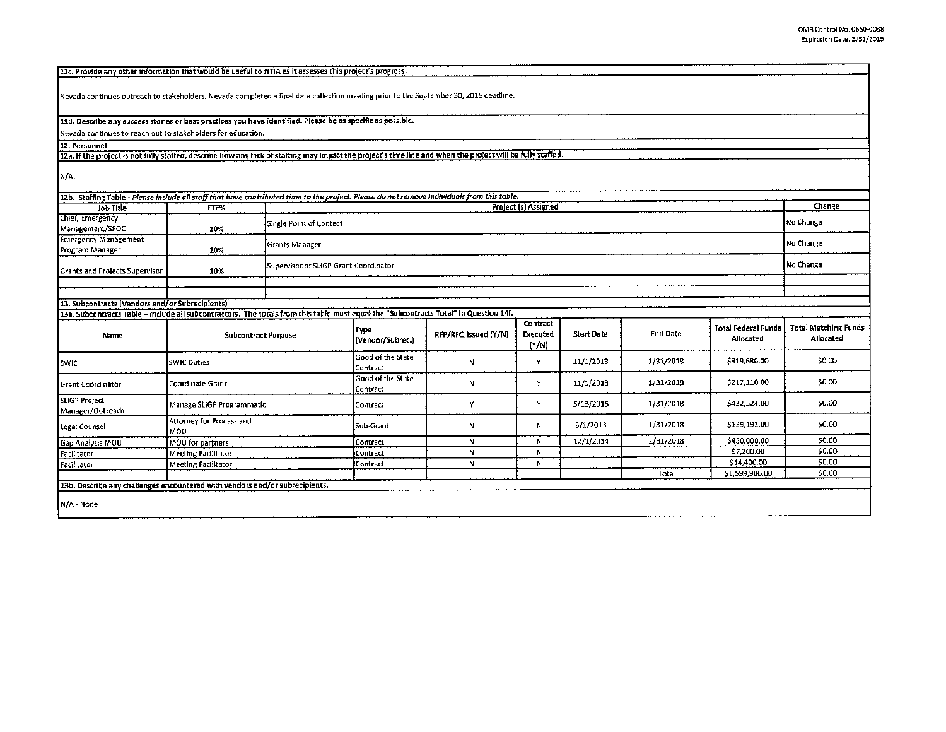Nevada continues outreach to stakeholders. Nevada completed a final data collection meeting prior to the September 30, 2016 deadline. 11d. Describe any success stories or best practices you have identified. Please be as specific as possible. Nevada continues to reach out to stakeholders for education. 12. Personnel 12a. If the project is not fully staffed, describe how any lack of staffing may impact the project's time line and when the project will be fully staffed. N/A. 12b. Staffing Table - Please include all staff that have contributed time to the project. Please do not remove individuals from this table. Project (s) Assigned Change Job Title FTE% Chief, Emergency No Change Single Point of Contact Management/SPOC 10% **Emergency Management** No Change **Grants Manager** Program Manager 10% No Change Supervisor of SLIGP Grant Coordinator Grants and Projects Supervisor 10% 13. Subcontracts (Vendors and/or Subrecipients) 13a. Subcontracts Table - include all subcontractors. The totals from this table must equal the "Subcontracts Total" in Question 14f. Contract **Total Matching Funds Total Federal Funds** Type RFP/RFQ Issued (Y/N) **Start Date End Date** Name **Subcontract Purpose** Executed Allocated Allocated (Vendor/Subrec.)  $(Y/N)$ Good of the State  $SO.00$ 1/31/2018 \$319,680.00 swic **SWIC Duties**  ${\bf N}$ Y 11/1/2013 Contract Good of the State 1/31/2018 \$217,110.00 \$0.00 y 11/1/2013 Coordinate Grant N Grant Coordinator Contract SLIGP Project 1/31/2018 \$432,324.00 \$0.00 Y Y 5/13/2015 Manage SLIGP Programmatic Contract Manager/Outreach Attorney for Process and \$159,192.00 \$0.00 Legał Counsel Sub-Grant  ${\sf N}$  $N$ 3/1/2013 1/31/2018 MOU. \$450,000.00  $50.00$ 12/1/2014 1/31/2018 Gap Analysis MOU **MOU** for partners Contract  $\mathsf N$ N.  $50.00$  $\overline{N}$  $\ddot{\mathbf{N}}$ \$7,200.00 **Meeting Facilitator** Contract Facilitator \$14,400.00 \$0.00  $\overline{N}$  $\overline{\mathbf{N}}$ Facilitator **Meeting Facilitator** Contract  $50.00$ Total \$1,599,906.00 13b. Describe any challenges encountered with vendors and/or subrecipients.

N/A - None

11c. Provide any other information that would be useful to NTIA as it assesses this project's progress.